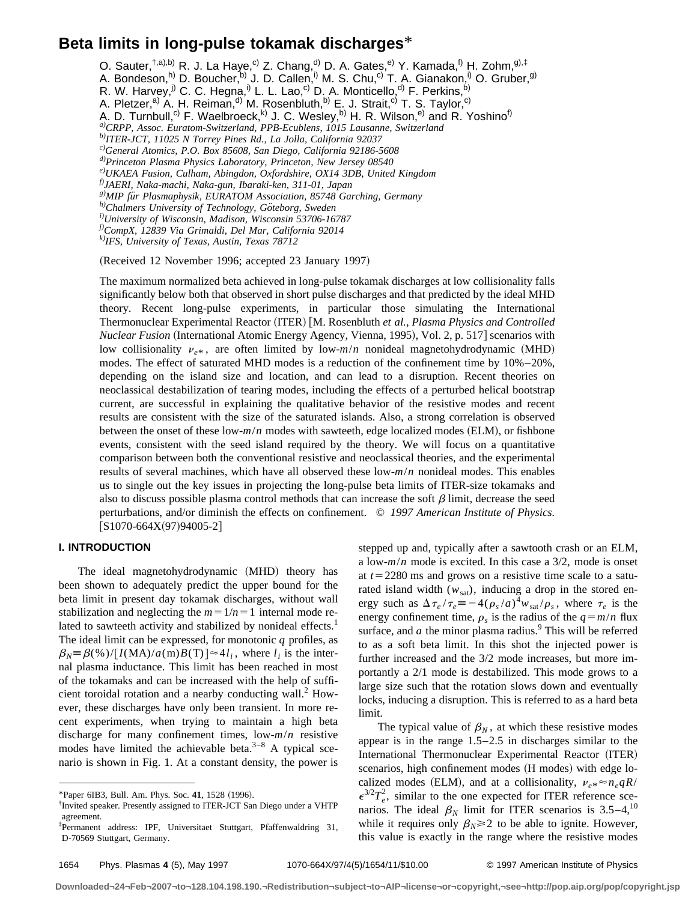# **Beta limits in long-pulse tokamak discharges**\*

O. Sauter,<sup>†,a),b)</sup> R. J. La Haye,<sup>c)</sup> Z. Chang,<sup>d)</sup> D. A. Gates,<sup>e)</sup> Y. Kamada,<sup>f)</sup> H. Zohm,<sup>g),‡</sup>

A. Bondeson,<sup>h)</sup> D. Boucher,<sup>b)</sup> J. D. Callen,<sup>i)</sup> M. S. Chu,<sup>c)</sup> T. A. Gianakon,<sup>i)</sup> O. Gruber,<sup>g)</sup>

R. W. Harvey,  $j^{j}$  C. C. Hegna,  $j^{j}$  L. L. Lao,  $c^{j}$  D. A. Monticello,  $d^{j}$  F. Perkins,  $b^{j}$ 

A. Pletzer,<sup>a)</sup> A. H. Reiman,<sup>d)</sup> M. Rosenbluth,<sup>b)</sup> E. J. Strait,<sup>c)</sup> T. S. Taylor,<sup>c)</sup>

A. D. Turnbull,<sup>c)</sup> F. Waelbroeck,<sup>k)</sup> J. C. Wesley,<sup>b)</sup> H. R. Wilson,<sup>e)</sup> and R. Yoshino<sup>f)</sup>

*a)CRPP, Assoc. Euratom-Switzerland, PPB-Ecublens, 1015 Lausanne, Switzerland*

*b)ITER-JCT, 11025 N Torrey Pines Rd., La Jolla, California 92037*

*c)General Atomics, P.O. Box 85608, San Diego, California 92186-5608*

*d)Princeton Plasma Physics Laboratory, Princeton, New Jersey 08540*

*e)UKAEA Fusion, Culham, Abingdon, Oxfordshire, OX14 3DB, United Kingdom*

*f)JAERI, Naka-machi, Naka-gun, Ibaraki-ken, 311-01, Japan*

*g)MIP fu¨r Plasmaphysik, EURATOM Association, 85748 Garching, Germany h)Chalmers University of Technology, Go¨teborg, Sweden*

*i)University of Wisconsin, Madison, Wisconsin 53706-16787*

*j)CompX, 12839 Via Grimaldi, Del Mar, California 92014*

*k)IFS, University of Texas, Austin, Texas 78712*

(Received 12 November 1996; accepted 23 January 1997)

The maximum normalized beta achieved in long-pulse tokamak discharges at low collisionality falls significantly below both that observed in short pulse discharges and that predicted by the ideal MHD theory. Recent long-pulse experiments, in particular those simulating the International Thermonuclear Experimental Reactor (ITER) [M. Rosenbluth *et al., Plasma Physics and Controlled Nuclear Fusion* (International Atomic Energy Agency, Vienna, 1995), Vol. 2, p. 517 scenarios with low collisionality  $v_{e*}$ , are often limited by low- $m/n$  nonideal magnetohydrodynamic (MHD) modes. The effect of saturated MHD modes is a reduction of the confinement time by 10%–20%, depending on the island size and location, and can lead to a disruption. Recent theories on neoclassical destabilization of tearing modes, including the effects of a perturbed helical bootstrap current, are successful in explaining the qualitative behavior of the resistive modes and recent results are consistent with the size of the saturated islands. Also, a strong correlation is observed between the onset of these low- $m/n$  modes with sawteeth, edge localized modes (ELM), or fishbone events, consistent with the seed island required by the theory. We will focus on a quantitative comparison between both the conventional resistive and neoclassical theories, and the experimental results of several machines, which have all observed these low-*m*/*n* nonideal modes. This enables us to single out the key issues in projecting the long-pulse beta limits of ITER-size tokamaks and also to discuss possible plasma control methods that can increase the soft  $\beta$  limit, decrease the seed perturbations, and/or diminish the effects on confinement. © *1997 American Institute of Physics.*  $[S1070-664X(97)94005-2]$ 

# **I. INTRODUCTION**

The ideal magnetohydrodynamic (MHD) theory has been shown to adequately predict the upper bound for the beta limit in present day tokamak discharges, without wall stabilization and neglecting the  $m=1/n=1$  internal mode related to sawteeth activity and stabilized by nonideal effects.<sup>1</sup> The ideal limit can be expressed, for monotonic *q* profiles, as  $\beta_N \equiv \beta$ (%)/ $[I(MA)/a(m)B(T)] \approx 4l_i$ , where *l<sub>i</sub>* is the internal plasma inductance. This limit has been reached in most of the tokamaks and can be increased with the help of sufficient toroidal rotation and a nearby conducting wall.<sup>2</sup> However, these discharges have only been transient. In more recent experiments, when trying to maintain a high beta discharge for many confinement times, low-*m*/*n* resistive modes have limited the achievable beta. $3-8$  A typical scenario is shown in Fig. 1. At a constant density, the power is stepped up and, typically after a sawtooth crash or an ELM, a low-*m*/*n* mode is excited. In this case a 3/2, mode is onset at  $t=2280$  ms and grows on a resistive time scale to a saturated island width  $(w_{sat})$ , inducing a drop in the stored energy such as  $\Delta \tau_e / \tau_e \equiv -4(\rho_s/a)^4 w_{sat}/\rho_s$ , where  $\tau_e$  is the energy confinement time,  $\rho_s$  is the radius of the  $q = m/n$  flux surface, and  $a$  the minor plasma radius.<sup>9</sup> This will be referred to as a soft beta limit. In this shot the injected power is further increased and the 3/2 mode increases, but more importantly a 2/1 mode is destabilized. This mode grows to a large size such that the rotation slows down and eventually locks, inducing a disruption. This is referred to as a hard beta limit.

The typical value of  $\beta_N$ , at which these resistive modes appear is in the range 1.5–2.5 in discharges similar to the International Thermonuclear Experimental Reactor (ITER) scenarios, high confinement modes (H modes) with edge localized modes (ELM), and at a collisionality,  $v_{e*} \approx n_e qR$ /  $\epsilon^{3/2}T_e^2$ , similar to the one expected for ITER reference scenarios. The ideal  $\beta_N$  limit for ITER scenarios is 3.5–4,<sup>10</sup> while it requires only  $\beta_N \geq 2$  to be able to ignite. However, this value is exactly in the range where the resistive modes

<sup>\*</sup>Paper 6IB3, Bull. Am. Phys. Soc. 41, 1528 (1996).

<sup>†</sup> Invited speaker. Presently assigned to ITER-JCT San Diego under a VHTP agreement.

<sup>‡</sup> Permanent address: IPF, Universitaet Stuttgart, Pfaffenwaldring 31, D-70569 Stuttgart, Germany.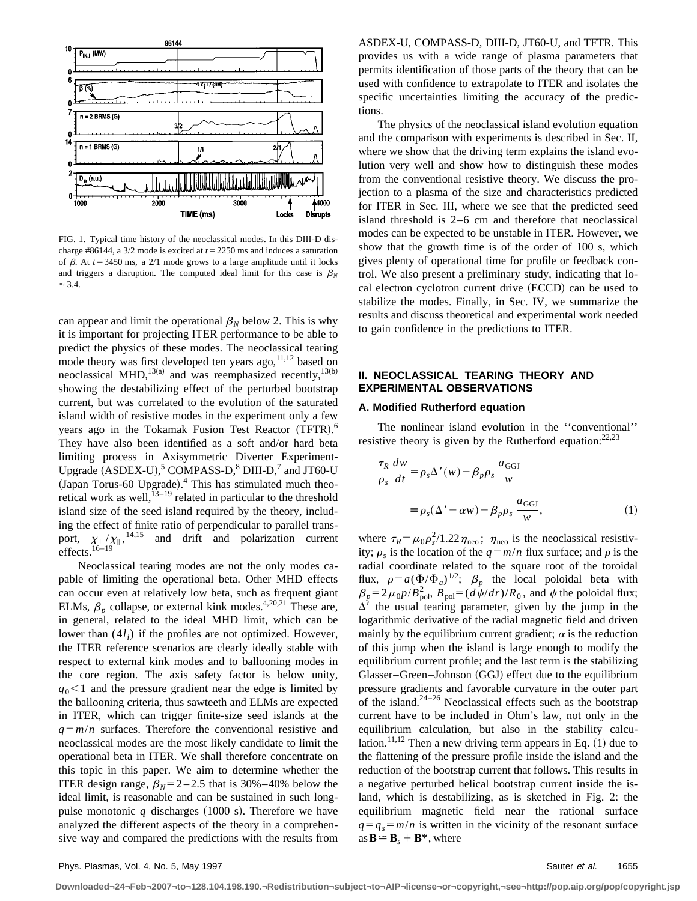

FIG. 1. Typical time history of the neoclassical modes. In this DIII-D discharge #86144, a  $3/2$  mode is excited at  $t = 2250$  ms and induces a saturation of  $\beta$ . At  $t=3450$  ms, a 2/1 mode grows to a large amplitude until it locks and triggers a disruption. The computed ideal limit for this case is  $\beta_N$  $\approx$  3.4.

can appear and limit the operational  $\beta_N$  below 2. This is why it is important for projecting ITER performance to be able to predict the physics of these modes. The neoclassical tearing mode theory was first developed ten years  $ago$ ,  $11,12$  based on neoclassical MHD,<sup>13(a)</sup> and was reemphasized recently,<sup>13(b)</sup> showing the destabilizing effect of the perturbed bootstrap current, but was correlated to the evolution of the saturated island width of resistive modes in the experiment only a few years ago in the Tokamak Fusion Test Reactor (TFTR).<sup>6</sup> They have also been identified as a soft and/or hard beta limiting process in Axisymmetric Diverter Experiment-Upgrade  $(ASDEX-U)$ ,<sup>5</sup> COMPASS-D,<sup>8</sup> DIII-D,<sup>7</sup> and JT60-U (Japan Torus-60 Upgrade).<sup>4</sup> This has stimulated much theoretical work as well, $^{13-19}$  related in particular to the threshold island size of the seed island required by the theory, including the effect of finite ratio of perpendicular to parallel transport,  $\chi_{\perp}/\chi_{\parallel}$ , <sup>14,15</sup> and drift and polarization current effects.<sup>16–19</sup>

Neoclassical tearing modes are not the only modes capable of limiting the operational beta. Other MHD effects can occur even at relatively low beta, such as frequent giant ELMs,  $\beta_p$  collapse, or external kink modes.<sup>4,20,21</sup> These are, in general, related to the ideal MHD limit, which can be lower than  $(4l_i)$  if the profiles are not optimized. However, the ITER reference scenarios are clearly ideally stable with respect to external kink modes and to ballooning modes in the core region. The axis safety factor is below unity,  $q_0$ <1 and the pressure gradient near the edge is limited by the ballooning criteria, thus sawteeth and ELMs are expected in ITER, which can trigger finite-size seed islands at the  $q = m/n$  surfaces. Therefore the conventional resistive and neoclassical modes are the most likely candidate to limit the operational beta in ITER. We shall therefore concentrate on this topic in this paper. We aim to determine whether the ITER design range,  $\beta_N = 2 - 2.5$  that is 30%–40% below the ideal limit, is reasonable and can be sustained in such longpulse monotonic  $q$  discharges  $(1000 \text{ s})$ . Therefore we have analyzed the different aspects of the theory in a comprehensive way and compared the predictions with the results from ASDEX-U, COMPASS-D, DIII-D, JT60-U, and TFTR. This provides us with a wide range of plasma parameters that permits identification of those parts of the theory that can be used with confidence to extrapolate to ITER and isolates the specific uncertainties limiting the accuracy of the predictions.

The physics of the neoclassical island evolution equation and the comparison with experiments is described in Sec. II, where we show that the driving term explains the island evolution very well and show how to distinguish these modes from the conventional resistive theory. We discuss the projection to a plasma of the size and characteristics predicted for ITER in Sec. III, where we see that the predicted seed island threshold is 2–6 cm and therefore that neoclassical modes can be expected to be unstable in ITER. However, we show that the growth time is of the order of 100 s, which gives plenty of operational time for profile or feedback control. We also present a preliminary study, indicating that local electron cyclotron current drive (ECCD) can be used to stabilize the modes. Finally, in Sec. IV, we summarize the results and discuss theoretical and experimental work needed to gain confidence in the predictions to ITER.

# **II. NEOCLASSICAL TEARING THEORY AND EXPERIMENTAL OBSERVATIONS**

## **A. Modified Rutherford equation**

The nonlinear island evolution in the ''conventional'' resistive theory is given by the Rutherford equation:  $22,23$ 

$$
\frac{\tau_R}{\rho_s} \frac{dw}{dt} = \rho_s \Delta'(w) - \beta_p \rho_s \frac{a_{GGI}}{w}
$$

$$
= \rho_s (\Delta' - \alpha w) - \beta_p \rho_s \frac{a_{GGI}}{w}, \qquad (1)
$$

where  $\tau_R = \mu_0 \rho_s^2 / 1.22 \eta_{\text{neo}}$ ;  $\eta_{\text{neo}}$  is the neoclassical resistivity;  $\rho_s$  is the location of the  $q = m/n$  flux surface; and  $\rho$  is the radial coordinate related to the square root of the toroidal flux,  $\rho = a(\Phi/\Phi_a)^{1/2}$ ;  $\beta_p$  the local poloidal beta with  $\beta_p = 2\mu_0 p/B_{\text{pol}}^2$ ,  $B_{\text{pol}} = (d\psi/dr)/R_0$ , and  $\psi$  the poloidal flux;  $\Delta'$  the usual tearing parameter, given by the jump in the logarithmic derivative of the radial magnetic field and driven mainly by the equilibrium current gradient;  $\alpha$  is the reduction of this jump when the island is large enough to modify the equilibrium current profile; and the last term is the stabilizing Glasser–Green–Johnson (GGJ) effect due to the equilibrium pressure gradients and favorable curvature in the outer part of the island. $24-26$  Neoclassical effects such as the bootstrap current have to be included in Ohm's law, not only in the equilibrium calculation, but also in the stability calculation.<sup>11,12</sup> Then a new driving term appears in Eq.  $(1)$  due to the flattening of the pressure profile inside the island and the reduction of the bootstrap current that follows. This results in a negative perturbed helical bootstrap current inside the island, which is destabilizing, as is sketched in Fig. 2: the equilibrium magnetic field near the rational surface  $q = q_s = m/n$  is written in the vicinity of the resonant surface  $as \mathbf{B} \cong \mathbf{B}_s + \mathbf{B}^*$ , where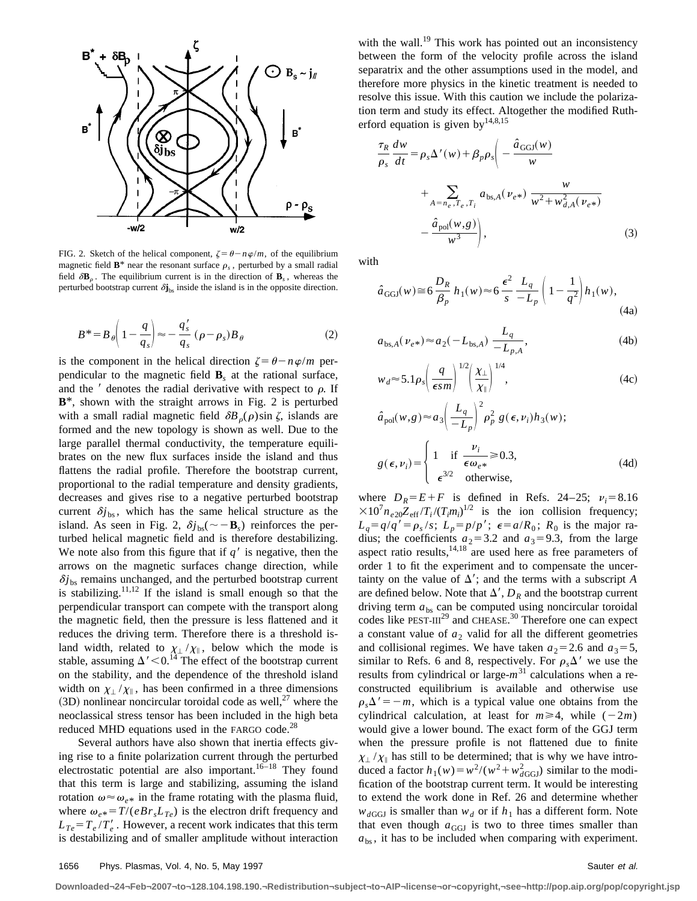

FIG. 2. Sketch of the helical component,  $\zeta = \theta - n\varphi/m$ , of the equilibrium magnetic field  $\mathbf{B}^*$  near the resonant surface  $\rho_s$ , perturbed by a small radial field  $\delta$ **B**<sub>c</sub>. The equilibrium current is in the direction of **B**<sub>s</sub>, whereas the perturbed bootstrap current  $\delta j_{\text{bs}}$  inside the island is in the opposite direction.

$$
B^* = B_\theta \left( 1 - \frac{q}{q_s} \right) \approx -\frac{q'_s}{q_s} \left( \rho - \rho_s \right) B_\theta \tag{2}
$$

is the component in the helical direction  $\zeta = \theta - n\varphi/m$  perpendicular to the magnetic field  $\mathbf{B}_s$  at the rational surface, and the  $\prime$  denotes the radial derivative with respect to  $\rho$ . If **B**\*, shown with the straight arrows in Fig. 2 is perturbed with a small radial magnetic field  $\delta B_{\rho}(\rho)$ sin  $\zeta$ , islands are formed and the new topology is shown as well. Due to the large parallel thermal conductivity, the temperature equilibrates on the new flux surfaces inside the island and thus flattens the radial profile. Therefore the bootstrap current, proportional to the radial temperature and density gradients, decreases and gives rise to a negative perturbed bootstrap current  $\delta j_{\rm bs}$ , which has the same helical structure as the island. As seen in Fig. 2,  $\delta j_{\rm bs}(\sim -\mathbf{B}_s)$  reinforces the perturbed helical magnetic field and is therefore destabilizing. We note also from this figure that if  $q'$  is negative, then the arrows on the magnetic surfaces change direction, while  $\delta j_{\rm bs}$  remains unchanged, and the perturbed bootstrap current is stabilizing.<sup>11,12</sup> If the island is small enough so that the perpendicular transport can compete with the transport along the magnetic field, then the pressure is less flattened and it reduces the driving term. Therefore there is a threshold island width, related to  $\chi_{\perp}/\chi_{\parallel}$ , below which the mode is stable, assuming  $\Delta' < 0$ .<sup>14</sup> The effect of the bootstrap current on the stability, and the dependence of the threshold island width on  $\chi_{\perp}/\chi_{\parallel}$ , has been confirmed in a three dimensions  $(3D)$  nonlinear noncircular toroidal code as well,<sup>27</sup> where the neoclassical stress tensor has been included in the high beta reduced MHD equations used in the FARGO code.<sup>28</sup>

Several authors have also shown that inertia effects giving rise to a finite polarization current through the perturbed electrostatic potential are also important.<sup>16–18</sup> They found that this term is large and stabilizing, assuming the island rotation  $\omega \approx \omega_{e^*}$  in the frame rotating with the plasma fluid, where  $\omega_{e*} = T/(eBr_sL_{Te})$  is the electron drift frequency and  $L_{Te} = T_e / T_e'$ . However, a recent work indicates that this term is destabilizing and of smaller amplitude without interaction with the wall.<sup>19</sup> This work has pointed out an inconsistency between the form of the velocity profile across the island separatrix and the other assumptions used in the model, and therefore more physics in the kinetic treatment is needed to resolve this issue. With this caution we include the polarization term and study its effect. Altogether the modified Rutherford equation is given by  $14,8,15$ 

$$
\frac{\tau_R}{\rho_s} \frac{dw}{dt} = \rho_s \Delta'(w) + \beta_p \rho_s \left( -\frac{\hat{a}_{GGJ}(w)}{w} + \sum_{A = n_e, T_e, T_i} a_{bs,A}(v_{e^*}) \frac{w}{w^2 + w_{d,A}^2(v_{e^*})} - \frac{\hat{a}_{pol}(w, g)}{w^3} \right),
$$
\n(3)

with

$$
\hat{a}_{\text{GGJ}}(w) \cong 6 \frac{D_R}{\beta_p} h_1(w) \approx 6 \frac{\epsilon^2}{s} \frac{L_q}{-L_p} \left( 1 - \frac{1}{q^2} \right) h_1(w),\tag{4a}
$$

$$
a_{\text{bs},A}(\nu_{e^*}) \approx a_2(-L_{\text{bs},A}) \frac{L_q}{-L_{p,A}},
$$
\n(4b)

$$
w_d \approx 5.1 \rho_s \left(\frac{q}{\epsilon s m}\right)^{1/2} \left(\frac{\chi_{\perp}}{\chi_{\parallel}}\right)^{1/4},\tag{4c}
$$

$$
\hat{a}_{pol}(w,g) \approx a_3 \left(\frac{L_q}{-L_p}\right)^2 \rho_p^2 g(\epsilon, \nu_i) h_3(w);
$$

$$
g(\epsilon, \nu_i) = \begin{cases} 1 & \text{if } \frac{\nu_i}{\epsilon \omega_{e^*}} \ge 0.3, \\ \epsilon^{3/2} & \text{otherwise,} \end{cases}
$$
(4d)

where  $D_R = E + F$  is defined in Refs. 24–25;  $v_i = 8.16$  $\times 10^7 n_{e20} Z_{\text{eff}} / T_i / (T_i m_i)^{1/2}$  is the ion collision frequency;  $L_q = q/q' = \rho_s / s$ ;  $L_p = p/p'$ ;  $\epsilon = a/R_0$ ;  $R_0$  is the major radius; the coefficients  $a_2$ =3.2 and  $a_3$ =9.3, from the large aspect ratio results, $14,18$  are used here as free parameters of order 1 to fit the experiment and to compensate the uncertainty on the value of  $\Delta'$ ; and the terms with a subscript *A* are defined below. Note that  $\Delta'$ ,  $D_R$  and the bootstrap current driving term  $a_{bs}$  can be computed using noncircular toroidal codes like PEST-III<sup>29</sup> and CHEASE.<sup>30</sup> Therefore one can expect a constant value of  $a_2$  valid for all the different geometries and collisional regimes. We have taken  $a_2 = 2.6$  and  $a_3 = 5$ , similar to Refs. 6 and 8, respectively. For  $\rho_s \Delta'$  we use the results from cylindrical or large- $m<sup>31</sup>$  calculations when a reconstructed equilibrium is available and otherwise use  $\rho_{\rm s}\Delta' = -m$ , which is a typical value one obtains from the cylindrical calculation, at least for  $m \ge 4$ , while  $(-2m)$ would give a lower bound. The exact form of the GGJ term when the pressure profile is not flattened due to finite  $\chi_{\perp}/\chi_{\parallel}$  has still to be determined; that is why we have introduced a factor  $h_1(w) = w^2/(w^2 + w_{dGGJ}^2)$  similar to the modification of the bootstrap current term. It would be interesting to extend the work done in Ref. 26 and determine whether  $w_{dGGJ}$  is smaller than  $w_d$  or if  $h_1$  has a different form. Note that even though  $a_{GGJ}$  is two to three times smaller than  $a<sub>bs</sub>$ , it has to be included when comparing with experiment.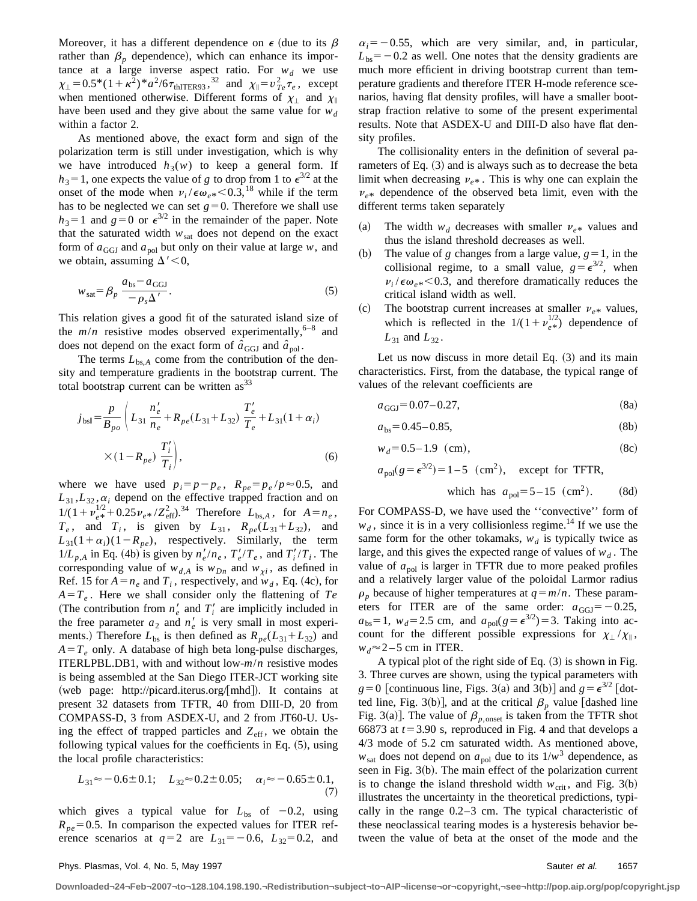Moreover, it has a different dependence on  $\epsilon$  (due to its  $\beta$ rather than  $\beta_p$  dependence), which can enhance its importance at a large inverse aspect ratio. For  $w_d$  we use  $\chi_{\perp} = 0.5^*(1 + \kappa^2)^* a^2 / 6 \tau_{thITER93}$ ,<sup>32</sup> and  $\chi_{\parallel} = v_{Te}^2 \tau_e$ , except when mentioned otherwise. Different forms of  $\chi_{\perp}$  and  $\chi_{\parallel}$ have been used and they give about the same value for  $w_d$ within a factor 2.

As mentioned above, the exact form and sign of the polarization term is still under investigation, which is why we have introduced  $h_3(w)$  to keep a general form. If  $h_3$ =1, one expects the value of *g* to drop from 1 to  $\epsilon^{3/2}$  at the onset of the mode when  $v_i / \epsilon \omega_{e*} < 0.3$ ,<sup>18</sup> while if the term has to be neglected we can set  $g=0$ . Therefore we shall use  $h_3=1$  and  $g=0$  or  $\epsilon^{3/2}$  in the remainder of the paper. Note that the saturated width  $w_{\text{sat}}$  does not depend on the exact form of  $a_{GGJ}$  and  $a_{pol}$  but only on their value at large *w*, and we obtain, assuming  $\Delta'$  < 0,

$$
w_{\text{sat}} = \beta_p \frac{a_{\text{bs}} - a_{\text{GGJ}}}{-\rho_s \Delta}.
$$
 (5)

This relation gives a good fit of the saturated island size of the  $m/n$  resistive modes observed experimentally,<sup>6–8</sup> and does not depend on the exact form of  $\hat{a}_{GGJ}$  and  $\hat{a}_{pol}$ .

The terms  $L_{bsA}$  come from the contribution of the density and temperature gradients in the bootstrap current. The total bootstrap current can be written  $\text{as}^{33}$ 

$$
j_{\text{bs||}} = \frac{p}{B_{po}} \left( L_{31} \frac{n_e'}{n_e} + R_{pe} (L_{31} + L_{32}) \frac{T_e'}{T_e} + L_{31} (1 + \alpha_i) \right)
$$
  
 
$$
\times (1 - R_{pe}) \frac{T_i'}{T_i} , \qquad (6)
$$

where we have used  $p_i = p - p_e$ ,  $R_{pe} = p_e / p \approx 0.5$ , and  $L_{31}$ ,  $L_{32}$ ,  $\alpha_i$  depend on the effective trapped fraction and on  $1/(1 + \nu_{e^*}^{1/2} + 0.25 \nu_{e^*} / Z_{eff}^2)^{34}$  Therefore  $L_{bs,A}$ , for  $A = n_e$ ,  $T_e$ , and  $T_i$ , is given by  $L_{31}$ ,  $R_{pe}(L_{31}+L_{32})$ , and  $L_{31}(1+\alpha_i)(1-R_{pe})$ , respectively. Similarly, the term  $1/L_{p,A}$  in Eq. (4b) is given by  $n_e'/n_e$ ,  $T_e'/T_e$ , and  $T_i'/T_i$ . The corresponding value of  $w_{d,A}$  is  $w_{Dn}$  and  $w_{\chi i}$ , as defined in Ref. 15 for  $A = n_e$  and  $T_i$ , respectively, and  $w_d$ , Eq. (4c), for  $A = T_e$ . Here we shall consider only the flattening of  $Te$ (The contribution from  $n_e'$  and  $T_i'$  are implicitly included in the free parameter  $a_2$  and  $n'_e$  is very small in most experiments.) Therefore  $L_{bs}$  is then defined as  $R_{pe}(L_{31}+L_{32})$  and  $A = T_e$  only. A database of high beta long-pulse discharges, ITERLPBL.DB1, with and without low-*m*/*n* resistive modes is being assembled at the San Diego ITER-JCT working site (web page: http://picard.iterus.org/[mhd]). It contains at present 32 datasets from TFTR, 40 from DIII-D, 20 from COMPASS-D, 3 from ASDEX-U, and 2 from JT60-U. Using the effect of trapped particles and  $Z_{\text{eff}}$ , we obtain the following typical values for the coefficients in Eq.  $(5)$ , using the local profile characteristics:

$$
L_{31} \approx -0.6 \pm 0.1; \quad L_{32} \approx 0.2 \pm 0.05; \quad \alpha_i \approx -0.65 \pm 0.1,\tag{7}
$$

which gives a typical value for  $L_{bs}$  of  $-0.2$ , using  $R_{pe}$ =0.5. In comparison the expected values for ITER reference scenarios at  $q=2$  are  $L_{31}=-0.6$ ,  $L_{32}=0.2$ , and  $\alpha_i = -0.55$ , which are very similar, and, in particular,  $L_{bs}$ = -0.2 as well. One notes that the density gradients are much more efficient in driving bootstrap current than temperature gradients and therefore ITER H-mode reference scenarios, having flat density profiles, will have a smaller bootstrap fraction relative to some of the present experimental results. Note that ASDEX-U and DIII-D also have flat density profiles.

The collisionality enters in the definition of several parameters of Eq.  $(3)$  and is always such as to decrease the beta limit when decreasing  $v_{e*}$ . This is why one can explain the  $v_{e*}$  dependence of the observed beta limit, even with the different terms taken separately

- (a) The width  $w_d$  decreases with smaller  $v_{e*}$  values and thus the island threshold decreases as well.
- (b) The value of *g* changes from a large value,  $g=1$ , in the collisional regime, to a small value,  $g = \epsilon^{3/2}$ , when  $v_i/\epsilon \omega_{e*}$  < 0.3, and therefore dramatically reduces the critical island width as well.
- (c) The bootstrap current increases at smaller  $v_{e*}$  values, which is reflected in the  $1/(1 + \nu_{e*}^{1/2})$  dependence of  $L_{31}$  and  $L_{32}$ .

Let us now discuss in more detail Eq.  $(3)$  and its main characteristics. First, from the database, the typical range of values of the relevant coefficients are

$$
a_{\text{GGJ}} = 0.07 - 0.27,\tag{8a}
$$

$$
a_{\rm bs} = 0.45 - 0.85,\tag{8b}
$$

$$
w_d = 0.5 - 1.9 \, \text{(cm)}, \tag{8c}
$$

 $a_{\text{mol}}(g = \epsilon^{3/2}) = 1-5$  (cm<sup>2</sup>), except for TFTR,

which has 
$$
a_{pol} = 5 - 15
$$
 (cm<sup>2</sup>). (8d)

For COMPASS-D, we have used the ''convective'' form of  $w_d$ , since it is in a very collisionless regime.<sup>14</sup> If we use the same form for the other tokamaks,  $w_d$  is typically twice as large, and this gives the expected range of values of  $w_d$ . The value of  $a_{\text{pol}}$  is larger in TFTR due to more peaked profiles and a relatively larger value of the poloidal Larmor radius  $\rho_p$  because of higher temperatures at  $q = m/n$ . These parameters for ITER are of the same order:  $a_{GGJ} = -0.25$ ,  $a_{bs} = 1$ ,  $w_d = 2.5$  cm, and  $a_{pol}(g = e^{3/2}) = 3$ . Taking into account for the different possible expressions for  $\chi_{\perp}/\chi_{\parallel}$ ,  $w_d \approx 2 - 5$  cm in ITER.

A typical plot of the right side of Eq.  $(3)$  is shown in Fig. 3. Three curves are shown, using the typical parameters with  $g=0$  [continuous line, Figs. 3(a) and 3(b)] and  $g = e^{3/2}$  [dotted line, Fig. 3(b)], and at the critical  $\beta_p$  value [dashed line Fig. 3(a)]. The value of  $\beta_{p,\text{onset}}$  is taken from the TFTR shot 66873 at  $t = 3.90$  s, reproduced in Fig. 4 and that develops a 4/3 mode of 5.2 cm saturated width. As mentioned above,  $w_{\text{sat}}$  does not depend on  $a_{\text{pol}}$  due to its  $1/w^3$  dependence, as seen in Fig.  $3(b)$ . The main effect of the polarization current is to change the island threshold width  $w_{\text{crit}}$ , and Fig. 3(b) illustrates the uncertainty in the theoretical predictions, typically in the range 0.2–3 cm. The typical characteristic of these neoclassical tearing modes is a hysteresis behavior between the value of beta at the onset of the mode and the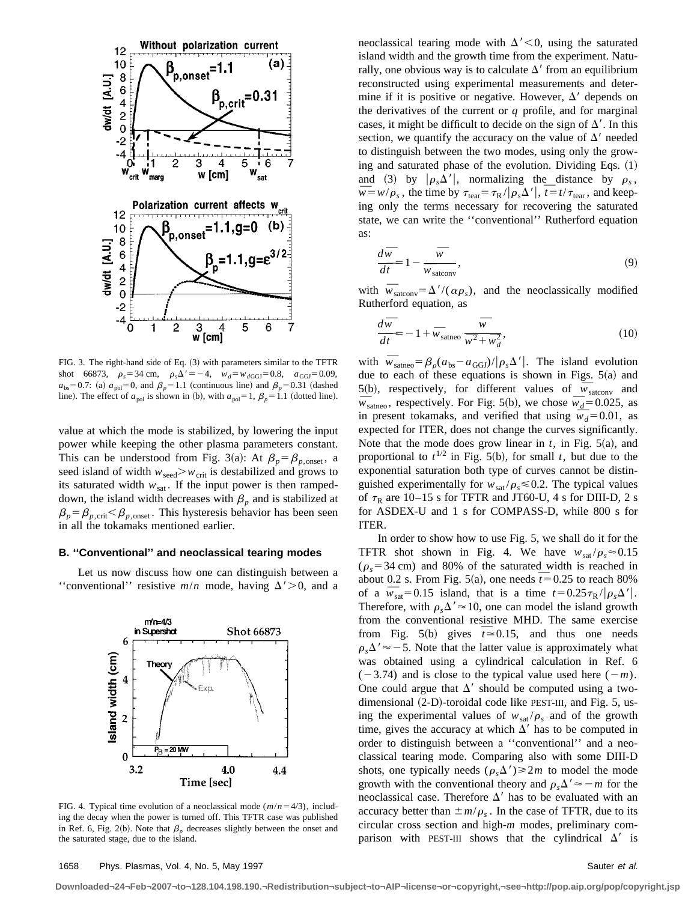

FIG. 3. The right-hand side of Eq. (3) with parameters similar to the TFTR shot 66873,  $\rho_s = 34 \text{ cm}, \rho_s \Delta' = -4, \quad w_d = w_{dGGI} = 0.8, \quad a_{GGJ} = 0.09,$  $a_{\text{bs}}=0.7$ : (a)  $a_{\text{pol}}=0$ , and  $\beta_p=1.1$  (continuous line) and  $\beta_p=0.31$  (dashed line). The effect of  $a_{pol}$  is shown in (b), with  $a_{pol}=1$ ,  $\beta_p=1.1$  (dotted line).

value at which the mode is stabilized, by lowering the input power while keeping the other plasma parameters constant. This can be understood from Fig. 3(a): At  $\beta_p = \beta_{p,\text{onset}}$ , a seed island of width  $w_{\text{seed}} > w_{\text{crit}}$  is destabilized and grows to its saturated width  $w_{\text{sat}}$ . If the input power is then rampeddown, the island width decreases with  $\beta_p$  and is stabilized at  $\beta_p = \beta_{p,\text{crit}} < \beta_{p,\text{onset}}$ . This hysteresis behavior has been seen in all the tokamaks mentioned earlier.

#### **B. ''Conventional'' and neoclassical tearing modes**

Let us now discuss how one can distinguish between a "conventional" resistive  $m/n$  mode, having  $\Delta' > 0$ , and a



FIG. 4. Typical time evolution of a neoclassical mode  $(m/n=4/3)$ , including the decay when the power is turned off. This TFTR case was published in Ref. 6, Fig. 2(b). Note that  $\beta_p$  decreases slightly between the onset and the saturated stage, due to the island.

neoclassical tearing mode with  $\Delta' < 0$ , using the saturated island width and the growth time from the experiment. Naturally, one obvious way is to calculate  $\Delta'$  from an equilibrium reconstructed using experimental measurements and determine if it is positive or negative. However,  $\Delta'$  depends on the derivatives of the current or *q* profile, and for marginal cases, it might be difficult to decide on the sign of  $\Delta'$ . In this section, we quantify the accuracy on the value of  $\Delta'$  needed to distinguish between the two modes, using only the growing and saturated phase of the evolution. Dividing Eqs.  $(1)$ and (3) by  $|\rho_s \Delta'|$ , normalizing the distance by  $\rho_s$ ,  $\overline{w} = w/\rho_s$ , the time by  $\tau_{\text{tear}} = \tau_R / |\rho_s \Delta'|$ ,  $\overline{t} = t / \tau_{\text{tear}}$ , and keeping only the terms necessary for recovering the saturated state, we can write the ''conventional'' Rutherford equation as:

$$
\frac{d\overline{w}}{d\overline{t}} = 1 - \frac{\overline{w}}{\overline{w}_{\text{satconv}}},\tag{9}
$$

with  $\overline{w}_{\text{satconv}} = \Delta' / (\alpha \rho_s)$ , and the neoclassically modified Rutherford equation, as

$$
\frac{d\overline{w}}{d\overline{t}} = -1 + \overline{w}_{\text{satneo}} \frac{\overline{w}}{\overline{w^2} + \overline{w}_d^2},\tag{10}
$$

with  $\overline{w}_{\text{satneo}} = \beta_0 (a_{\text{bs}} - a_{\text{GGJ}})/|\rho_s \Delta'|$ . The island evolution due to each of these equations is shown in Figs.  $5(a)$  and 5(b), respectively, for different values of  $\overline{w}_{\text{satconv}}$  and  $\overline{w}_{\text{satneo}}$ , respectively. For Fig. 5(b), we chose  $\overline{w}_d$ =0.025, as in present tokamaks, and verified that using  $\bar{w}_d$ =0.01, as expected for ITER, does not change the curves significantly. Note that the mode does grow linear in  $t$ , in Fig.  $5(a)$ , and proportional to  $t^{1/2}$  in Fig. 5(b), for small *t*, but due to the exponential saturation both type of curves cannot be distinguished experimentally for  $w_{\text{sat}}/\rho_s \le 0.2$ . The typical values of  $\tau_R$  are 10–15 s for TFTR and JT60-U, 4 s for DIII-D, 2 s for ASDEX-U and 1 s for COMPASS-D, while 800 s for ITER.

In order to show how to use Fig. 5, we shall do it for the TFTR shot shown in Fig. 4. We have  $w_{\text{sat}}/\rho_s \approx 0.15$  $(\rho_s = 34 \text{ cm})$  and 80% of the saturated width is reached in about 0.2 s. From Fig. 5(a), one needs  $\bar{t}$  = 0.25 to reach 80% of a  $\bar{w}_{\text{sat}}=0.15$  island, that is a time  $t=0.25\tau_R/|\rho_s\Delta'|$ . Therefore, with  $\rho_s \Delta' \approx 10$ , one can model the island growth from the conventional resistive MHD. The same exercise from Fig. 5(b) gives  $\bar{t} \approx 0.15$ , and thus one needs  $\rho_s \Delta' \approx -5$ . Note that the latter value is approximately what was obtained using a cylindrical calculation in Ref. 6  $(-3.74)$  and is close to the typical value used here  $(-m)$ . One could argue that  $\Delta'$  should be computed using a twodimensional  $(2-D)$ -toroidal code like PEST-III, and Fig. 5, using the experimental values of  $w_{\text{sat}}/\rho_s$  and of the growth time, gives the accuracy at which  $\Delta'$  has to be computed in order to distinguish between a ''conventional'' and a neoclassical tearing mode. Comparing also with some DIII-D shots, one typically needs  $(\rho_s \Delta') \geq 2m$  to model the mode growth with the conventional theory and  $\rho_s \Delta' \approx -m$  for the neoclassical case. Therefore  $\Delta'$  has to be evaluated with an accuracy better than  $\pm m/\rho_s$ . In the case of TFTR, due to its circular cross section and high-*m* modes, preliminary comparison with PEST-III shows that the cylindrical  $\Delta'$  is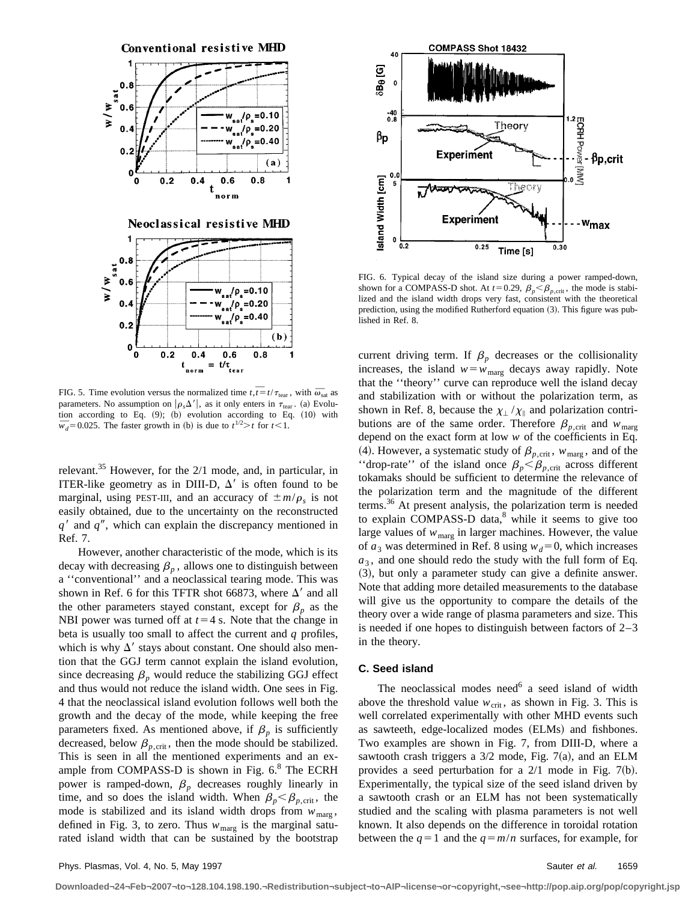

FIG. 5. Time evolution versus the normalized time  $t, \overline{t} = t/\tau_{\text{tear}}$ , with  $\overline{\omega}_{\text{sat}}$  as parameters. No assumption on  $|\rho_s \Delta'|$ , as it only enters in  $\tau_{\text{tear}}$ . (a) Evolution according to Eq.  $(9)$ ;  $(b)$  evolution according to Eq.  $(10)$  with tion according to Eq. (9); (b) evolution according to Eq. (9); (b) evolution according to Eq.

relevant.<sup>35</sup> However, for the  $2/1$  mode, and, in particular, in ITER-like geometry as in DIII-D,  $\Delta'$  is often found to be marginal, using PEST-III, and an accuracy of  $\pm m/\rho_s$  is not easily obtained, due to the uncertainty on the reconstructed  $q'$  and  $q''$ , which can explain the discrepancy mentioned in Ref. 7.

However, another characteristic of the mode, which is its decay with decreasing  $\beta_p$ , allows one to distinguish between a ''conventional'' and a neoclassical tearing mode. This was shown in Ref. 6 for this TFTR shot 66873, where  $\Delta'$  and all the other parameters stayed constant, except for  $\beta_p$  as the NBI power was turned off at  $t=4$  s. Note that the change in beta is usually too small to affect the current and *q* profiles, which is why  $\Delta'$  stays about constant. One should also mention that the GGJ term cannot explain the island evolution, since decreasing  $\beta_p$  would reduce the stabilizing GGJ effect and thus would not reduce the island width. One sees in Fig. 4 that the neoclassical island evolution follows well both the growth and the decay of the mode, while keeping the free parameters fixed. As mentioned above, if  $\beta_p$  is sufficiently decreased, below  $\beta_{p,\text{crit}}$ , then the mode should be stabilized. This is seen in all the mentioned experiments and an example from COMPASS-D is shown in Fig.  $6<sup>8</sup>$  The ECRH power is ramped-down,  $\beta_p$  decreases roughly linearly in time, and so does the island width. When  $\beta_p < \beta_{p,\text{crit}}$ , the mode is stabilized and its island width drops from  $w_{\text{marg}}$ , defined in Fig. 3, to zero. Thus  $w_{\text{marg}}$  is the marginal saturated island width that can be sustained by the bootstrap



FIG. 6. Typical decay of the island size during a power ramped-down, shown for a COMPASS-D shot. At  $t=0.29$ ,  $\beta_p < \beta_{p,\text{crit}}$ , the mode is stabilized and the island width drops very fast, consistent with the theoretical prediction, using the modified Rutherford equation (3). This figure was published in Ref. 8.

current driving term. If  $\beta_p$  decreases or the collisionality increases, the island  $w = w_{\text{marg}}$  decays away rapidly. Note that the ''theory'' curve can reproduce well the island decay and stabilization with or without the polarization term, as shown in Ref. 8, because the  $\chi_{\perp}/\chi_{\parallel}$  and polarization contributions are of the same order. Therefore  $\beta_{p,\text{crit}}$  and  $w_{\text{marg}}$ depend on the exact form at low *w* of the coefficients in Eq. (4). However, a systematic study of  $\beta_{p,\text{crit}}$ ,  $w_{\text{marg}}$ , and of the "drop-rate" of the island once  $\beta_p < \beta_{p,\text{crit}}$  across different tokamaks should be sufficient to determine the relevance of the polarization term and the magnitude of the different terms.<sup>36</sup> At present analysis, the polarization term is needed to explain COMPASS-D data, $8$  while it seems to give too large values of  $w_{\text{marg}}$  in larger machines. However, the value of  $a_3$  was determined in Ref. 8 using  $w_d=0$ , which increases  $a_3$ , and one should redo the study with the full form of Eq.  $(3)$ , but only a parameter study can give a definite answer. Note that adding more detailed measurements to the database will give us the opportunity to compare the details of the theory over a wide range of plasma parameters and size. This is needed if one hopes to distinguish between factors of 2–3 in the theory.

#### **C. Seed island**

The neoclassical modes need $6$  a seed island of width above the threshold value  $w_{\text{crit}}$ , as shown in Fig. 3. This is well correlated experimentally with other MHD events such as sawteeth, edge-localized modes (ELMs) and fishbones. Two examples are shown in Fig. 7, from DIII-D, where a sawtooth crash triggers a  $3/2$  mode, Fig. 7(a), and an ELM provides a seed perturbation for a  $2/1$  mode in Fig. 7(b). Experimentally, the typical size of the seed island driven by a sawtooth crash or an ELM has not been systematically studied and the scaling with plasma parameters is not well known. It also depends on the difference in toroidal rotation between the  $q=1$  and the  $q=m/n$  surfaces, for example, for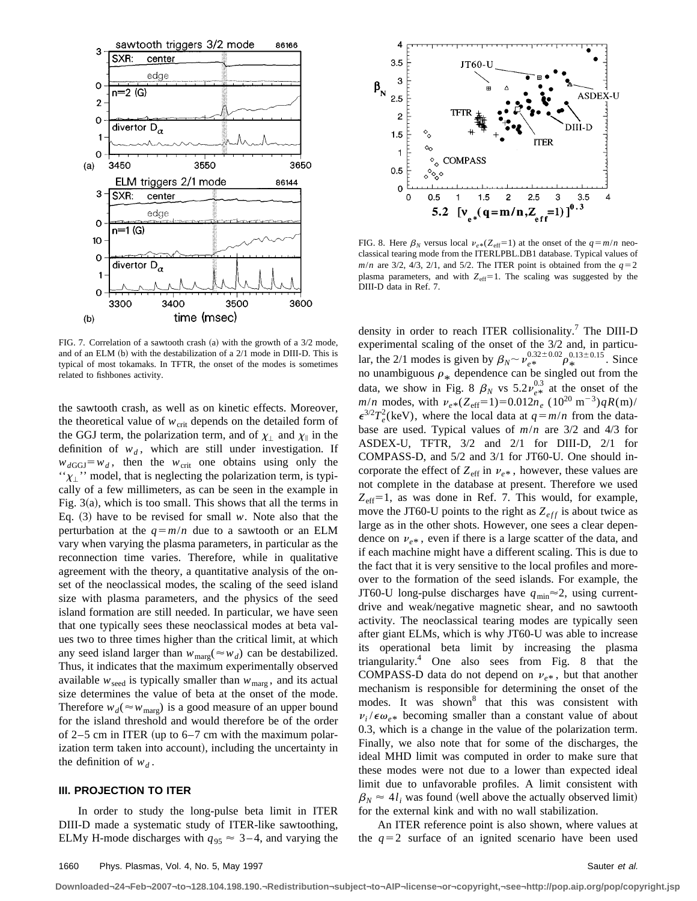

FIG. 7. Correlation of a sawtooth crash  $(a)$  with the growth of a 3/2 mode, and of an ELM  $(b)$  with the destabilization of a  $2/1$  mode in DIII-D. This is typical of most tokamaks. In TFTR, the onset of the modes is sometimes related to fishbones activity.

the sawtooth crash, as well as on kinetic effects. Moreover, the theoretical value of  $w_{\text{crit}}$  depends on the detailed form of the GGJ term, the polarization term, and of  $\chi_{\perp}$  and  $\chi_{\parallel}$  in the definition of  $w_d$ , which are still under investigation. If  $w_{dGGJ} = w_d$ , then the  $w_{crit}$  one obtains using only the  $\gamma$ <sup>'</sup> $\chi$ <sup>'</sup>'' model, that is neglecting the polarization term, is typically of a few millimeters, as can be seen in the example in Fig.  $3(a)$ , which is too small. This shows that all the terms in Eq.  $(3)$  have to be revised for small *w*. Note also that the perturbation at the  $q=m/n$  due to a sawtooth or an ELM vary when varying the plasma parameters, in particular as the reconnection time varies. Therefore, while in qualitative agreement with the theory, a quantitative analysis of the onset of the neoclassical modes, the scaling of the seed island size with plasma parameters, and the physics of the seed island formation are still needed. In particular, we have seen that one typically sees these neoclassical modes at beta values two to three times higher than the critical limit, at which any seed island larger than  $w_{\text{marg}}(\approx w_d)$  can be destabilized. Thus, it indicates that the maximum experimentally observed available  $w_{\text{seed}}$  is typically smaller than  $w_{\text{marg}}$ , and its actual size determines the value of beta at the onset of the mode. Therefore  $w_d$ ( $\approx w_{\text{marp}}$ ) is a good measure of an upper bound for the island threshold and would therefore be of the order of 2–5 cm in ITER (up to  $6-7$  cm with the maximum polarization term taken into account), including the uncertainty in the definition of  $w_d$ .

#### **III. PROJECTION TO ITER**

In order to study the long-pulse beta limit in ITER DIII-D made a systematic study of ITER-like sawtoothing, ELMy H-mode discharges with  $q_{95} \approx 3-4$ , and varying the



FIG. 8. Here  $\beta_N$  versus local  $\nu_{e*}(Z_{\text{eff}}=1)$  at the onset of the  $q=m/n$  neoclassical tearing mode from the ITERLPBL.DB1 database. Typical values of  $m/n$  are 3/2, 4/3, 2/1, and 5/2. The ITER point is obtained from the  $q=2$ plasma parameters, and with  $Z_{\text{eff}}=1$ . The scaling was suggested by the DIII-D data in Ref. 7.

density in order to reach ITER collisionality.<sup>7</sup> The DIII-D experimental scaling of the onset of the 3/2 and, in particular, the 2/1 modes is given by  $\beta_N \sim \nu_e^{0.32\pm0.02} \rho_*^{0.13\pm0.15}$ . Since no unambiguous  $\rho_*$  dependence can be singled out from the data, we show in Fig. 8  $\beta_N$  vs  $5.2\nu_e^{0.3}$  at the onset of the *m/n* modes, with  $v_{e*}(Z_{\text{eff}}=1)=0.012n_e (10^{20} \text{ m}^{-3})qR(\text{m})/$  $\epsilon^{3/2}T_e^2$ (keV), where the local data at  $q=m/n$  from the database are used. Typical values of *m*/*n* are 3/2 and 4/3 for ASDEX-U, TFTR, 3/2 and 2/1 for DIII-D, 2/1 for COMPASS-D, and 5/2 and 3/1 for JT60-U. One should incorporate the effect of  $Z_{\text{eff}}$  in  $v_{e*}$ , however, these values are not complete in the database at present. Therefore we used  $Z_{\text{eff}}=1$ , as was done in Ref. 7. This would, for example, move the JT60-U points to the right as  $Z_{eff}$  is about twice as large as in the other shots. However, one sees a clear dependence on  $v_{e*}$ , even if there is a large scatter of the data, and if each machine might have a different scaling. This is due to the fact that it is very sensitive to the local profiles and moreover to the formation of the seed islands. For example, the JT60-U long-pulse discharges have  $q_{\text{min}} \approx 2$ , using currentdrive and weak/negative magnetic shear, and no sawtooth activity. The neoclassical tearing modes are typically seen after giant ELMs, which is why JT60-U was able to increase its operational beta limit by increasing the plasma triangularity.<sup>4</sup> One also sees from Fig. 8 that the COMPASS-D data do not depend on  $v_{e*}$ , but that another mechanism is responsible for determining the onset of the modes. It was shown<sup>8</sup> that this was consistent with  $\nu_i/\epsilon \omega_{\rho *}$  becoming smaller than a constant value of about 0.3, which is a change in the value of the polarization term. Finally, we also note that for some of the discharges, the ideal MHD limit was computed in order to make sure that these modes were not due to a lower than expected ideal limit due to unfavorable profiles. A limit consistent with  $\beta_N \approx 4l_i$  was found (well above the actually observed limit) for the external kink and with no wall stabilization.

An ITER reference point is also shown, where values at the  $q=2$  surface of an ignited scenario have been used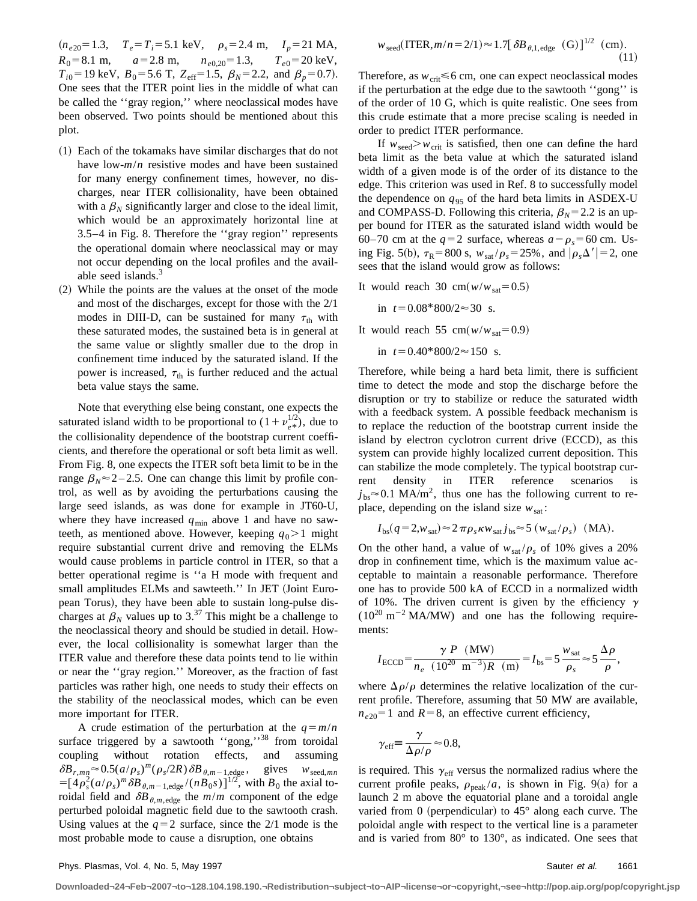$(n_{e20} = 1.3, T_e = T_i = 5.1 \text{ keV}, \rho_s = 2.4 \text{ m}, I_p = 21 \text{ MA},$  $R_0 = 8.1 \text{ m}, \qquad a = 2.8 \text{ m}, \qquad n_{e0,20} = 1.3, \qquad T_{e0} = 20 \text{ keV},$  $T_{i0}$ =19 keV,  $B_0$ =5.6 T,  $Z_{\text{eff}}$ =1.5,  $\beta_N$ =2.2, and  $\beta_p$ =0.7). One sees that the ITER point lies in the middle of what can be called the ''gray region,'' where neoclassical modes have been observed. Two points should be mentioned about this plot.

- ~1! Each of the tokamaks have similar discharges that do not have low-*m*/*n* resistive modes and have been sustained for many energy confinement times, however, no discharges, near ITER collisionality, have been obtained with a  $\beta_N$  significantly larger and close to the ideal limit, which would be an approximately horizontal line at 3.5–4 in Fig. 8. Therefore the ''gray region'' represents the operational domain where neoclassical may or may not occur depending on the local profiles and the available seed islands.<sup>3</sup>
- ~2! While the points are the values at the onset of the mode and most of the discharges, except for those with the 2/1 modes in DIII-D, can be sustained for many  $\tau_{\text{th}}$  with these saturated modes, the sustained beta is in general at the same value or slightly smaller due to the drop in confinement time induced by the saturated island. If the power is increased,  $\tau_{\text{th}}$  is further reduced and the actual beta value stays the same.

Note that everything else being constant, one expects the saturated island width to be proportional to  $(1 + \nu_{e^*}^{1/2})$ , due to the collisionality dependence of the bootstrap current coefficients, and therefore the operational or soft beta limit as well. From Fig. 8, one expects the ITER soft beta limit to be in the range  $\beta_N \approx 2 - 2.5$ . One can change this limit by profile control, as well as by avoiding the perturbations causing the large seed islands, as was done for example in JT60-U, where they have increased  $q_{\text{min}}$  above 1 and have no sawteeth, as mentioned above. However, keeping  $q_0 > 1$  might require substantial current drive and removing the ELMs would cause problems in particle control in ITER, so that a better operational regime is ''a H mode with frequent and small amplitudes ELMs and sawteeth." In JET (Joint European Torus), they have been able to sustain long-pulse discharges at  $\beta_N$  values up to 3.<sup>37</sup> This might be a challenge to the neoclassical theory and should be studied in detail. However, the local collisionality is somewhat larger than the ITER value and therefore these data points tend to lie within or near the ''gray region.'' Moreover, as the fraction of fast particles was rather high, one needs to study their effects on the stability of the neoclassical modes, which can be even more important for ITER.

A crude estimation of the perturbation at the  $q=m/n$ surface triggered by a sawtooth "gong,"<sup>38</sup> from toroidal coupling without rotation effects, and assuming  $\delta B_{r,mn} \approx 0.5(a/\rho_s)^m(\rho_s/2R)\delta B_{\theta,m-1,\text{edge}}$ , gives  $w_{\text{seed},mn}$  $=[4\rho_s^2(a/\rho_s)^m\delta B_{\theta,m-1,\text{edge}}/(nB_0s)]^{1/2}$ , with  $B_0$  the axial toroidal field and  $\delta B_{\theta,m,\text{edge}}$  the  $m/m$  component of the edge perturbed poloidal magnetic field due to the sawtooth crash. Using values at the  $q=2$  surface, since the 2/1 mode is the most probable mode to cause a disruption, one obtains

$$
w_{\text{seed}}(\text{ITER}, m/n = 2/1) \approx 1.7 [\delta B_{\theta, 1, \text{edge}} \quad (G)]^{1/2} \quad (\text{cm}).
$$
\n(11)

Therefore, as  $w_{\text{crit}} \leq 6$  cm, one can expect neoclassical modes if the perturbation at the edge due to the sawtooth ''gong'' is of the order of 10 G, which is quite realistic. One sees from this crude estimate that a more precise scaling is needed in order to predict ITER performance.

If  $w_{\text{seed}} > w_{\text{crit}}$  is satisfied, then one can define the hard beta limit as the beta value at which the saturated island width of a given mode is of the order of its distance to the edge. This criterion was used in Ref. 8 to successfully model the dependence on  $q_{95}$  of the hard beta limits in ASDEX-U and COMPASS-D. Following this criteria,  $\beta_N = 2.2$  is an upper bound for ITER as the saturated island width would be 60–70 cm at the  $q=2$  surface, whereas  $a-\rho_s=60$  cm. Using Fig. 5(b),  $\tau_R = 800 \text{ s}$ ,  $w_{\text{sat}}/\rho_s = 25\%$ , and  $|\rho_s \Delta'| = 2$ , one sees that the island would grow as follows:

It would reach 30 cm $(w/w_{\text{sat}}=0.5)$ 

in 
$$
t = 0.08 * 800/2 \approx 30
$$
 s.

It would reach 55 cm $(w/w_{sat}=0.9)$ 

in  $t=0.40*800/2\approx 150$  s.

Therefore, while being a hard beta limit, there is sufficient time to detect the mode and stop the discharge before the disruption or try to stabilize or reduce the saturated width with a feedback system. A possible feedback mechanism is to replace the reduction of the bootstrap current inside the island by electron cyclotron current drive (ECCD), as this system can provide highly localized current deposition. This can stabilize the mode completely. The typical bootstrap current density in ITER reference scenarios is  $j_{\rm bs} \approx 0.1$  MA/m<sup>2</sup>, thus one has the following current to replace, depending on the island size  $w_{\text{sat}}$ :

$$
I_{\text{bs}}(q=2, w_{\text{sat}}) \approx 2 \pi \rho_s \kappa w_{\text{sat}} j_{\text{bs}} \approx 5 (w_{\text{sat}}/\rho_s) \text{ (MA)}.
$$

On the other hand, a value of  $w_{\text{sat}}/\rho_s$  of 10% gives a 20% drop in confinement time, which is the maximum value acceptable to maintain a reasonable performance. Therefore one has to provide 500 kA of ECCD in a normalized width of 10%. The driven current is given by the efficiency  $\gamma$  $(10^{20} \text{ m}^{-2} \text{ MA/MW})$  and one has the following requirements:

$$
I_{\rm ECCD} = \frac{\gamma P (MW)}{n_e (10^{20} \text{ m}^{-3})R (m)} = I_{\rm bs} = 5 \frac{w_{\rm sat}}{\rho_s} \approx 5 \frac{\Delta \rho}{\rho},
$$

where  $\Delta \rho / \rho$  determines the relative localization of the current profile. Therefore, assuming that 50 MW are available,  $n_{e20}$ =1 and *R* = 8, an effective current efficiency,

$$
\gamma_{\text{eff}} \equiv \frac{\gamma}{\Delta \rho / \rho} \approx 0.8,
$$

is required. This  $\gamma_{\text{eff}}$  versus the normalized radius where the current profile peaks,  $\rho_{peak}/a$ , is shown in Fig. 9(a) for a launch 2 m above the equatorial plane and a toroidal angle varied from 0 (perpendicular) to  $45^{\circ}$  along each curve. The poloidal angle with respect to the vertical line is a parameter and is varied from 80° to 130°, as indicated. One sees that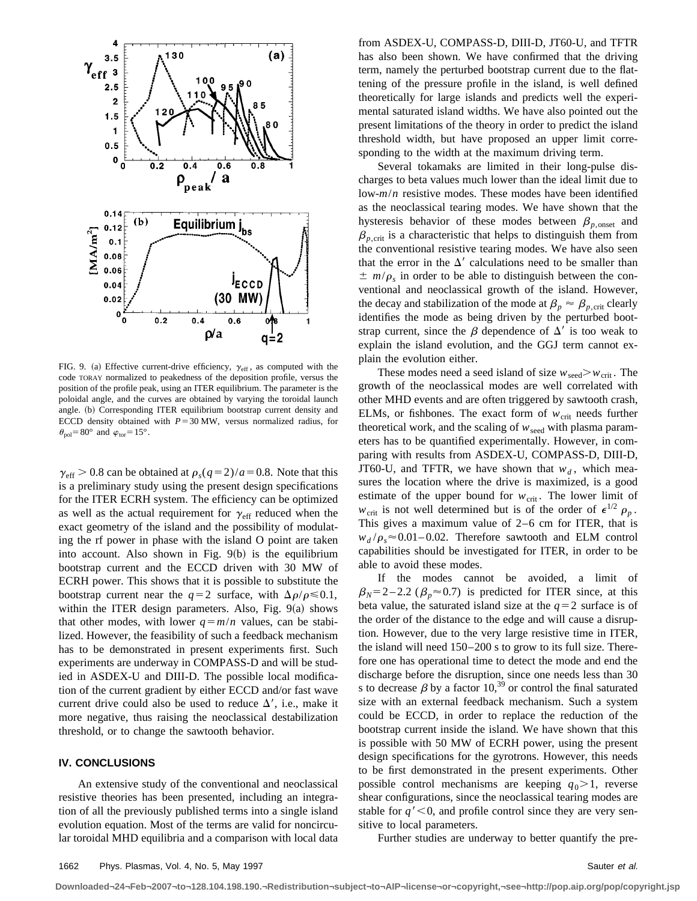

FIG. 9. (a) Effective current-drive efficiency,  $\gamma_{\text{eff}}$ , as computed with the code TORAY normalized to peakedness of the deposition profile, versus the position of the profile peak, using an ITER equilibrium. The parameter is the poloidal angle, and the curves are obtained by varying the toroidal launch angle. (b) Corresponding ITER equilibrium bootstrap current density and ECCD density obtained with  $P=30$  MW, versus normalized radius, for  $\theta_{\text{pol}}$  = 80° and  $\varphi_{\text{tor}}$  = 15°.

 $\gamma_{\text{eff}}$  > 0.8 can be obtained at  $\rho_s(q=2)/a=0.8$ . Note that this is a preliminary study using the present design specifications for the ITER ECRH system. The efficiency can be optimized as well as the actual requirement for  $\gamma_{\text{eff}}$  reduced when the exact geometry of the island and the possibility of modulating the rf power in phase with the island O point are taken into account. Also shown in Fig.  $9(b)$  is the equilibrium bootstrap current and the ECCD driven with 30 MW of ECRH power. This shows that it is possible to substitute the bootstrap current near the  $q=2$  surface, with  $\Delta \rho / \rho \le 0.1$ , within the ITER design parameters. Also, Fig.  $9(a)$  shows that other modes, with lower  $q = m/n$  values, can be stabilized. However, the feasibility of such a feedback mechanism has to be demonstrated in present experiments first. Such experiments are underway in COMPASS-D and will be studied in ASDEX-U and DIII-D. The possible local modification of the current gradient by either ECCD and/or fast wave current drive could also be used to reduce  $\Delta'$ , i.e., make it more negative, thus raising the neoclassical destabilization threshold, or to change the sawtooth behavior.

# **IV. CONCLUSIONS**

An extensive study of the conventional and neoclassical resistive theories has been presented, including an integration of all the previously published terms into a single island evolution equation. Most of the terms are valid for noncircular toroidal MHD equilibria and a comparison with local data from ASDEX-U, COMPASS-D, DIII-D, JT60-U, and TFTR has also been shown. We have confirmed that the driving term, namely the perturbed bootstrap current due to the flattening of the pressure profile in the island, is well defined theoretically for large islands and predicts well the experimental saturated island widths. We have also pointed out the present limitations of the theory in order to predict the island threshold width, but have proposed an upper limit corresponding to the width at the maximum driving term.

Several tokamaks are limited in their long-pulse discharges to beta values much lower than the ideal limit due to low-*m*/*n* resistive modes. These modes have been identified as the neoclassical tearing modes. We have shown that the hysteresis behavior of these modes between  $\beta_{p,\text{onset}}$  and  $\beta_{p,\text{crit}}$  is a characteristic that helps to distinguish them from the conventional resistive tearing modes. We have also seen that the error in the  $\Delta'$  calculations need to be smaller than  $\pm$  *m/* $\rho_s$  in order to be able to distinguish between the conventional and neoclassical growth of the island. However, the decay and stabilization of the mode at  $\beta_p \approx \beta_{p,\text{crit}}$  clearly identifies the mode as being driven by the perturbed bootstrap current, since the  $\beta$  dependence of  $\Delta'$  is too weak to explain the island evolution, and the GGJ term cannot explain the evolution either.

These modes need a seed island of size  $w_{\text{seed}} > w_{\text{crit}}$ . The growth of the neoclassical modes are well correlated with other MHD events and are often triggered by sawtooth crash, ELMs, or fishbones. The exact form of  $w_{\text{crit}}$  needs further theoretical work, and the scaling of  $w_{\text{seed}}$  with plasma parameters has to be quantified experimentally. However, in comparing with results from ASDEX-U, COMPASS-D, DIII-D, JT60-U, and TFTR, we have shown that  $w_d$ , which measures the location where the drive is maximized, is a good estimate of the upper bound for  $w_{\text{crit}}$ . The lower limit of  $w_{\text{crit}}$  is not well determined but is of the order of  $\epsilon^{1/2}$   $\rho_p$ . This gives a maximum value of 2–6 cm for ITER, that is  $w_d/\rho_s \approx 0.01 - 0.02$ . Therefore sawtooth and ELM control capabilities should be investigated for ITER, in order to be able to avoid these modes.

If the modes cannot be avoided, a limit of  $\beta_N = 2 - 2.2$  ( $\beta_p \approx 0.7$ ) is predicted for ITER since, at this beta value, the saturated island size at the  $q=2$  surface is of the order of the distance to the edge and will cause a disruption. However, due to the very large resistive time in ITER, the island will need 150–200 s to grow to its full size. Therefore one has operational time to detect the mode and end the discharge before the disruption, since one needs less than 30 s to decrease  $\beta$  by a factor 10,<sup>39</sup> or control the final saturated size with an external feedback mechanism. Such a system could be ECCD, in order to replace the reduction of the bootstrap current inside the island. We have shown that this is possible with 50 MW of ECRH power, using the present design specifications for the gyrotrons. However, this needs to be first demonstrated in the present experiments. Other possible control mechanisms are keeping  $q_0 > 1$ , reverse shear configurations, since the neoclassical tearing modes are stable for  $q' < 0$ , and profile control since they are very sensitive to local parameters.

Further studies are underway to better quantify the pre-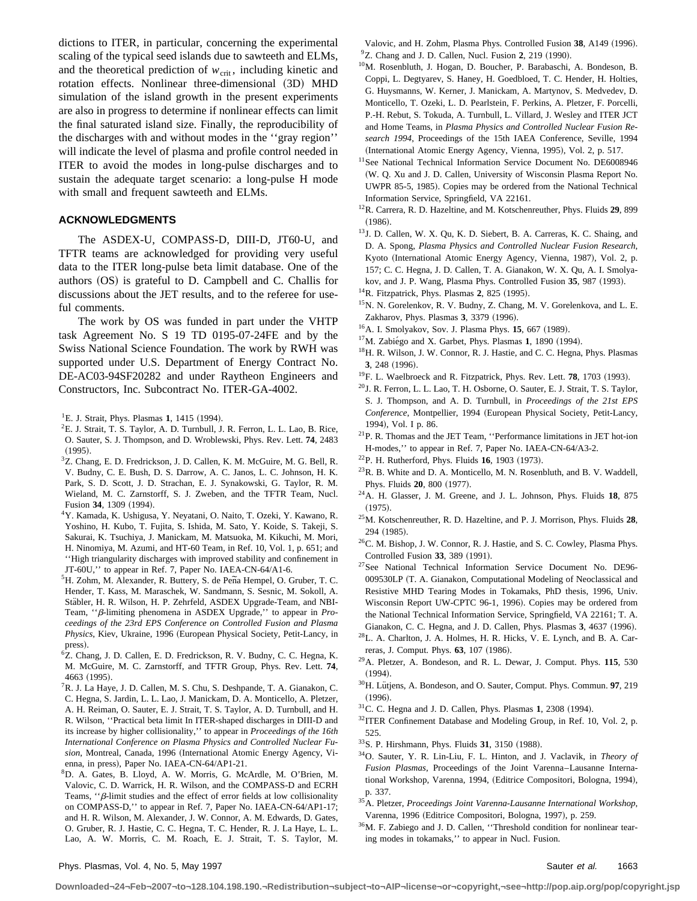dictions to ITER, in particular, concerning the experimental scaling of the typical seed islands due to sawteeth and ELMs, and the theoretical prediction of  $w_{\text{crit}}$ , including kinetic and rotation effects. Nonlinear three-dimensional  $(3D)$  MHD simulation of the island growth in the present experiments are also in progress to determine if nonlinear effects can limit the final saturated island size. Finally, the reproducibility of the discharges with and without modes in the ''gray region'' will indicate the level of plasma and profile control needed in ITER to avoid the modes in long-pulse discharges and to sustain the adequate target scenario: a long-pulse H mode with small and frequent sawteeth and ELMs.

### **ACKNOWLEDGMENTS**

The ASDEX-U, COMPASS-D, DIII-D, JT60-U, and TFTR teams are acknowledged for providing very useful data to the ITER long-pulse beta limit database. One of the authors  $(OS)$  is grateful to D. Campbell and C. Challis for discussions about the JET results, and to the referee for useful comments.

The work by OS was funded in part under the VHTP task Agreement No. S 19 TD 0195-07-24FE and by the Swiss National Science Foundation. The work by RWH was supported under U.S. Department of Energy Contract No. DE-AC03-94SF20282 and under Raytheon Engineers and Constructors, Inc. Subcontract No. ITER-GA-4002.

- <sup>2</sup>E. J. Strait, T. S. Taylor, A. D. Turnbull, J. R. Ferron, L. L. Lao, B. Rice, O. Sauter, S. J. Thompson, and D. Wroblewski, Phys. Rev. Lett. **74**, 2483  $(1995).$
- 3 Z. Chang, E. D. Fredrickson, J. D. Callen, K. M. McGuire, M. G. Bell, R. V. Budny, C. E. Bush, D. S. Darrow, A. C. Janos, L. C. Johnson, H. K. Park, S. D. Scott, J. D. Strachan, E. J. Synakowski, G. Taylor, R. M. Wieland, M. C. Zarnstorff, S. J. Zweben, and the TFTR Team, Nucl. Fusion 34, 1309 (1994).
- 4Y. Kamada, K. Ushigusa, Y. Neyatani, O. Naito, T. Ozeki, Y. Kawano, R. Yoshino, H. Kubo, T. Fujita, S. Ishida, M. Sato, Y. Koide, S. Takeji, S. Sakurai, K. Tsuchiya, J. Manickam, M. Matsuoka, M. Kikuchi, M. Mori, H. Ninomiya, M. Azumi, and HT-60 Team, in Ref. 10, Vol. 1, p. 651; and ''High triangularity discharges with improved stability and confinement in JT-60U,'' to appear in Ref. 7, Paper No. IAEA-CN-64/A1-6.
- <sup>5</sup>H. Zohm, M. Alexander, R. Buttery, S. de Peña Hempel, O. Gruber, T. C. Hender, T. Kass, M. Maraschek, W. Sandmann, S. Sesnic, M. Sokoll, A. Stäbler, H. R. Wilson, H. P. Zehrfeld, ASDEX Upgrade-Team, and NBI-Team, " $\beta$ -limiting phenomena in ASDEX Upgrade," to appear in *Proceedings of the 23rd EPS Conference on Controlled Fusion and Plasma Physics*, Kiev, Ukraine, 1996 (European Physical Society, Petit-Lancy, in press).
- 6 Z. Chang, J. D. Callen, E. D. Fredrickson, R. V. Budny, C. C. Hegna, K. M. McGuire, M. C. Zarnstorff, and TFTR Group, Phys. Rev. Lett. **74**, 4663 (1995).
- 7R. J. La Haye, J. D. Callen, M. S. Chu, S. Deshpande, T. A. Gianakon, C. C. Hegna, S. Jardin, L. L. Lao, J. Manickam, D. A. Monticello, A. Pletzer, A. H. Reiman, O. Sauter, E. J. Strait, T. S. Taylor, A. D. Turnbull, and H. R. Wilson, ''Practical beta limit In ITER-shaped discharges in DIII-D and its increase by higher collisionality,'' to appear in *Proceedings of the 16th International Conference on Plasma Physics and Controlled Nuclear Fu* $sion$ , Montreal, Canada, 1996 (International Atomic Energy Agency, Vienna, in press), Paper No. IAEA-CN-64/AP1-21.
- 8 D. A. Gates, B. Lloyd, A. W. Morris, G. McArdle, M. O'Brien, M. Valovic, C. D. Warrick, H. R. Wilson, and the COMPASS-D and ECRH Teams,  $\cdot$ <sup>2</sup> $\beta$ -limit studies and the effect of error fields at low collisionality on COMPASS-D,'' to appear in Ref. 7, Paper No. IAEA-CN-64/AP1-17; and H. R. Wilson, M. Alexander, J. W. Connor, A. M. Edwards, D. Gates, O. Gruber, R. J. Hastie, C. C. Hegna, T. C. Hender, R. J. La Haye, L. L. Lao, A. W. Morris, C. M. Roach, E. J. Strait, T. S. Taylor, M.

Valovic, and H. Zohm, Plasma Phys. Controlled Fusion 38, A149 (1996). <sup>9</sup>Z. Chang and J. D. Callen, Nucl. Fusion 2, 219 (1990).

- <sup>10</sup>M. Rosenbluth, J. Hogan, D. Boucher, P. Barabaschi, A. Bondeson, B. Coppi, L. Degtyarev, S. Haney, H. Goedbloed, T. C. Hender, H. Holties, G. Huysmanns, W. Kerner, J. Manickam, A. Martynov, S. Medvedev, D. Monticello, T. Ozeki, L. D. Pearlstein, F. Perkins, A. Pletzer, F. Porcelli, P.-H. Rebut, S. Tokuda, A. Turnbull, L. Villard, J. Wesley and ITER JCT and Home Teams, in *Plasma Physics and Controlled Nuclear Fusion Research 1994*, Proceedings of the 15th IAEA Conference, Seville, 1994 (International Atomic Energy Agency, Vienna, 1995), Vol. 2, p. 517.
- <sup>11</sup>See National Technical Information Service Document No. DE6008946 (W. Q. Xu and J. D. Callen, University of Wisconsin Plasma Report No. UWPR 85-5, 1985). Copies may be ordered from the National Technical Information Service, Springfield, VA 22161.
- 12R. Carrera, R. D. Hazeltine, and M. Kotschenreuther, Phys. Fluids **29**, 899  $(1986).$
- 13J. D. Callen, W. X. Qu, K. D. Siebert, B. A. Carreras, K. C. Shaing, and D. A. Spong, *Plasma Physics and Controlled Nuclear Fusion Research*, Kyoto (International Atomic Energy Agency, Vienna, 1987), Vol. 2, p. 157; C. C. Hegna, J. D. Callen, T. A. Gianakon, W. X. Qu, A. I. Smolyakov, and J. P. Wang, Plasma Phys. Controlled Fusion 35, 987 (1993).
- <sup>14</sup>R. Fitzpatrick, Phys. Plasmas **2**, 825 (1995).
- 15N. N. Gorelenkov, R. V. Budny, Z. Chang, M. V. Gorelenkova, and L. E. Zakharov, Phys. Plasmas 3, 3379 (1996).
- <sup>16</sup>A. I. Smolyakov, Sov. J. Plasma Phys. **15**, 667 (1989).
- <sup>17</sup>M. Zabiégo and X. Garbet, Phys. Plasmas **1**, 1890 (1994).
- <sup>18</sup>H. R. Wilson, J. W. Connor, R. J. Hastie, and C. C. Hegna, Phys. Plasmas **3**, 248 (1996).
- <sup>19</sup>F. L. Waelbroeck and R. Fitzpatrick, Phys. Rev. Lett. **78**, 1703 (1993).
- 20J. R. Ferron, L. L. Lao, T. H. Osborne, O. Sauter, E. J. Strait, T. S. Taylor, S. J. Thompson, and A. D. Turnbull, in *Proceedings of the 21st EPS Conference*, Montpellier, 1994 (European Physical Society, Petit-Lancy, 1994), Vol. I p. 86.
- 21P. R. Thomas and the JET Team, ''Performance limitations in JET hot-ion H-modes,'' to appear in Ref. 7, Paper No. IAEA-CN-64/A3-2.
- <sup>22</sup>P. H. Rutherford, Phys. Fluids **16**, 1903 (1973).
- $^{23}$ R. B. White and D. A. Monticello, M. N. Rosenbluth, and B. V. Waddell, Phys. Fluids **20**, 800 (1977).
- 24A. H. Glasser, J. M. Greene, and J. L. Johnson, Phys. Fluids **18**, 875  $(1975)$ .
- 25M. Kotschenreuther, R. D. Hazeltine, and P. J. Morrison, Phys. Fluids **28**, 294 (1985).
- 26C. M. Bishop, J. W. Connor, R. J. Hastie, and S. C. Cowley, Plasma Phys. Controlled Fusion 33, 389 (1991).
- 27See National Technical Information Service Document No. DE96- 009530LP (T. A. Gianakon, Computational Modeling of Neoclassical and Resistive MHD Tearing Modes in Tokamaks, PhD thesis, 1996, Univ. Wisconsin Report UW-CPTC 96-1, 1996). Copies may be ordered from the National Technical Information Service, Springfield, VA 22161; T. A. Gianakon, C. C. Hegna, and J. D. Callen, Phys. Plasmas 3, 4637 (1996).
- 28L. A. Charlton, J. A. Holmes, H. R. Hicks, V. E. Lynch, and B. A. Carreras, J. Comput. Phys. **63**, 107 (1986).
- 29A. Pletzer, A. Bondeson, and R. L. Dewar, J. Comput. Phys. **115**, 530  $(1994).$
- <sup>30</sup>H. Lütjens, A. Bondeson, and O. Sauter, Comput. Phys. Commun. 97, 219  $(1996).$
- <sup>31</sup>C. C. Hegna and J. D. Callen, Phys. Plasmas **1**, 2308 (1994).
- <sup>32</sup>ITER Confinement Database and Modeling Group, in Ref. 10, Vol. 2, p. 525.
- <sup>33</sup>S. P. Hirshmann, Phys. Fluids 31, 3150 (1988).
- 34O. Sauter, Y. R. Lin-Liu, F. L. Hinton, and J. Vaclavik, in *Theory of Fusion Plasmas*, Proceedings of the Joint Varenna–Lausanne International Workshop, Varenna, 1994, (Editrice Compositori, Bologna, 1994), p. 337.
- 35A. Pletzer, *Proceedings Joint Varenna-Lausanne International Workshop*, Varenna, 1996 (Editrice Compositori, Bologna, 1997), p. 259.
- <sup>36</sup>M. F. Zabiego and J. D. Callen, "Threshold condition for nonlinear tearing modes in tokamaks,'' to appear in Nucl. Fusion.

<sup>&</sup>lt;sup>1</sup>E. J. Strait, Phys. Plasmas **1**, 1415 (1994).

**Downloaded¬24¬Feb¬2007¬to¬128.104.198.190.¬Redistribution¬subject¬to¬AIP¬license¬or¬copyright,¬see¬http://pop.aip.org/pop/copyright.jsp**